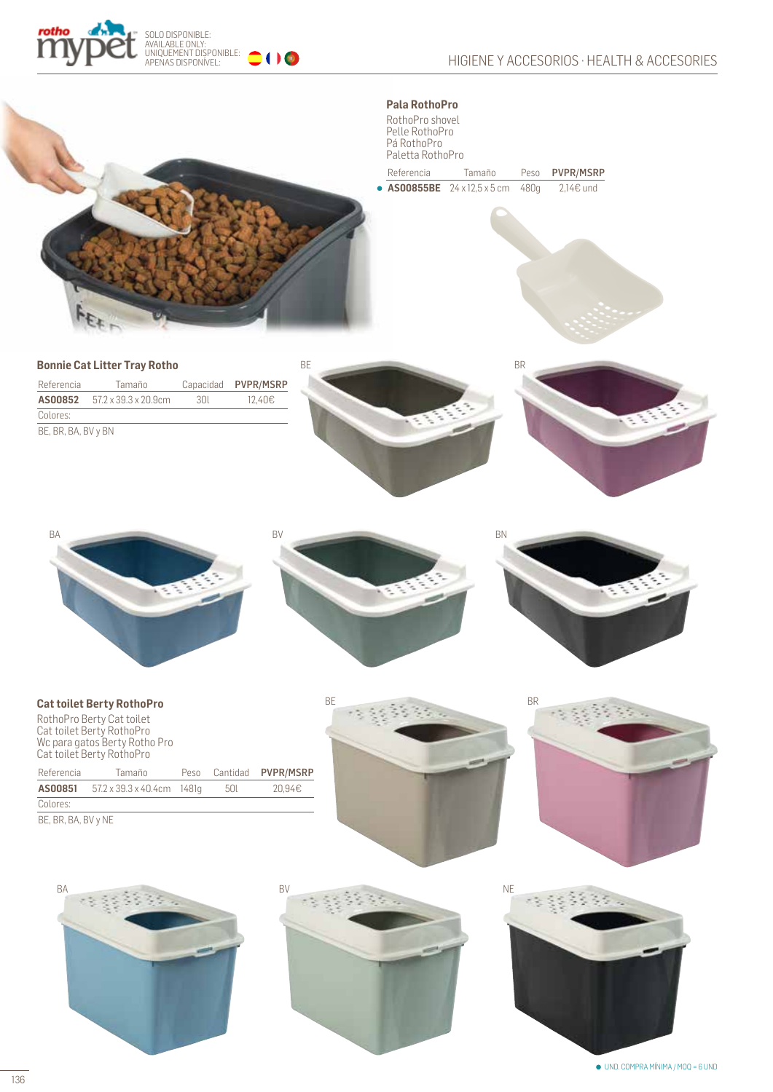